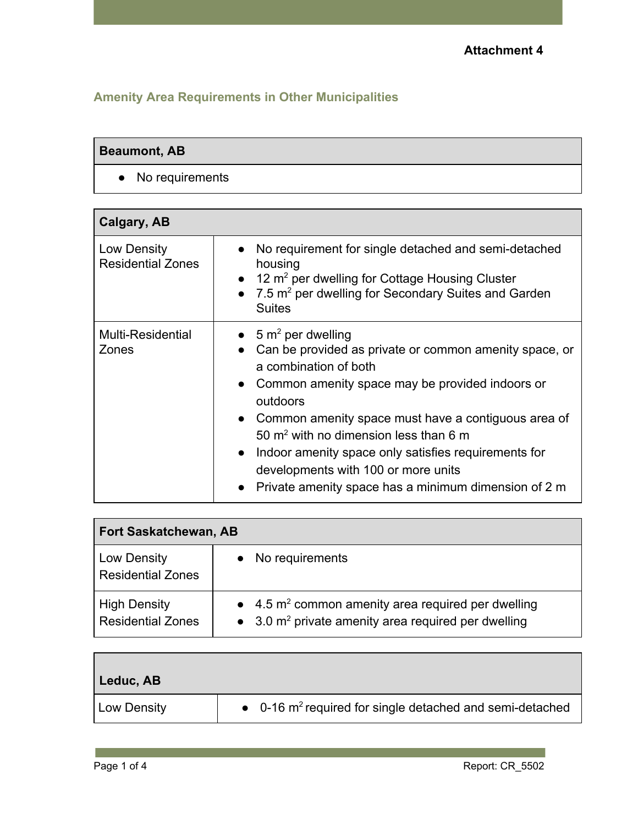## **Amenity Area Requirements in Other Municipalities**

#### **Beaumont, AB**

● No requirements

| Calgary, AB                             |                                                                                                                                                                                                                                                                                                                                                                                                                                                                                    |
|-----------------------------------------|------------------------------------------------------------------------------------------------------------------------------------------------------------------------------------------------------------------------------------------------------------------------------------------------------------------------------------------------------------------------------------------------------------------------------------------------------------------------------------|
| Low Density<br><b>Residential Zones</b> | No requirement for single detached and semi-detached<br>$\bullet$<br>housing<br>12 $m2$ per dwelling for Cottage Housing Cluster<br>7.5 m <sup>2</sup> per dwelling for Secondary Suites and Garden<br><b>Suites</b>                                                                                                                                                                                                                                                               |
| <b>Multi-Residential</b><br>Zones       | • $5 \text{ m}^2$ per dwelling<br>Can be provided as private or common amenity space, or<br>a combination of both<br>Common amenity space may be provided indoors or<br>$\bullet$<br>outdoors<br>• Common amenity space must have a contiguous area of<br>50 $m2$ with no dimension less than 6 m<br>Indoor amenity space only satisfies requirements for<br>$\bullet$<br>developments with 100 or more units<br>Private amenity space has a minimum dimension of 2 m<br>$\bullet$ |

| <b>Fort Saskatchewan, AB</b>                    |                                                                                                                                  |
|-------------------------------------------------|----------------------------------------------------------------------------------------------------------------------------------|
| Low Density<br><b>Residential Zones</b>         | No requirements                                                                                                                  |
| <b>High Density</b><br><b>Residential Zones</b> | $\bullet$ 4.5 m <sup>2</sup> common amenity area required per dwelling<br>• 3.0 $m^2$ private amenity area required per dwelling |

| Leduc, AB   |                                                                              |
|-------------|------------------------------------------------------------------------------|
| Low Density | $\bullet$ 0-16 m <sup>2</sup> required for single detached and semi-detached |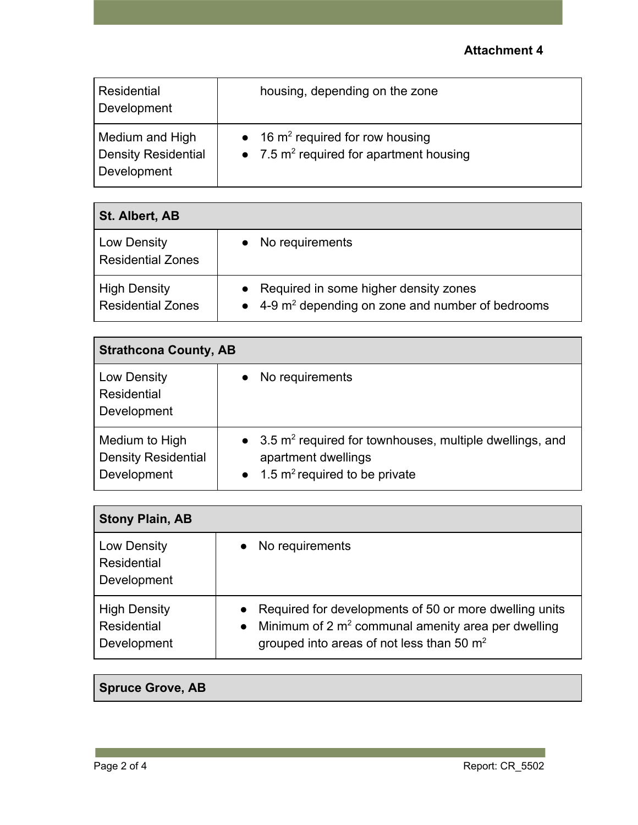#### **Attachment 4**

| Residential<br>Development                            | housing, depending on the zone                                                    |
|-------------------------------------------------------|-----------------------------------------------------------------------------------|
| Medium and High<br>Density Residential<br>Development | • 16 $m^2$ required for row housing<br>• 7.5 $m^2$ required for apartment housing |

| St. Albert, AB                                  |                                                                                                                |
|-------------------------------------------------|----------------------------------------------------------------------------------------------------------------|
| Low Density<br><b>Residential Zones</b>         | No requirements                                                                                                |
| <b>High Density</b><br><b>Residential Zones</b> | Required in some higher density zones<br>$\bullet$ 4-9 m <sup>2</sup> depending on zone and number of bedrooms |

| <b>Strathcona County, AB</b>                                |                                                                                                                                            |
|-------------------------------------------------------------|--------------------------------------------------------------------------------------------------------------------------------------------|
| Low Density<br>Residential<br>Development                   | No requirements                                                                                                                            |
| Medium to High<br><b>Density Residential</b><br>Development | $\bullet$ 3.5 m <sup>2</sup> required for townhouses, multiple dwellings, and<br>apartment dwellings<br>• 1.5 $m^2$ required to be private |

| <b>Stony Plain, AB</b>                                   |                                                                                                                                                                              |
|----------------------------------------------------------|------------------------------------------------------------------------------------------------------------------------------------------------------------------------------|
| Low Density<br><b>Residential</b><br>Development         | No requirements                                                                                                                                                              |
| <b>High Density</b><br><b>Residential</b><br>Development | • Required for developments of 50 or more dwelling units<br>Minimum of 2 $m2$ communal amenity area per dwelling<br>$\bullet$<br>grouped into areas of not less than 50 $m2$ |

## **Spruce Grove, AB**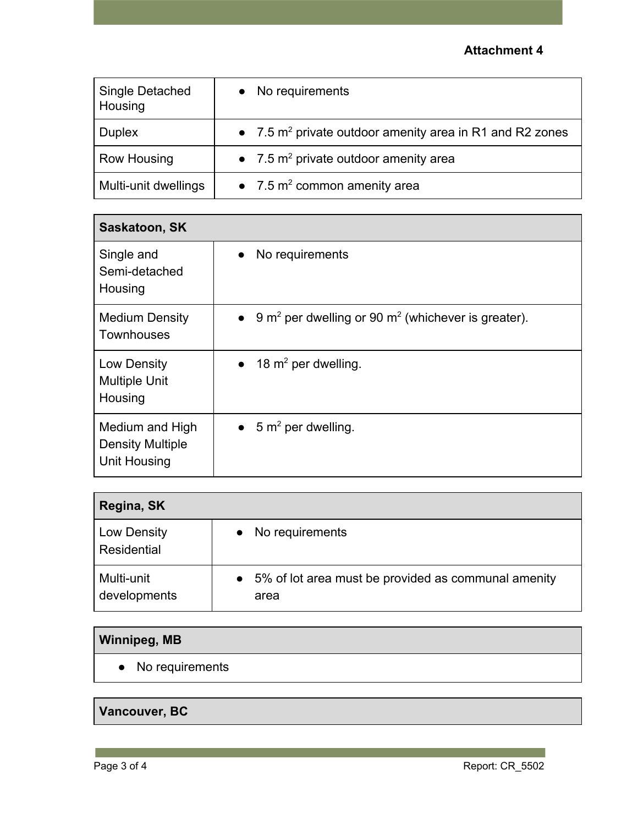#### **Attachment 4**

| Single Detached<br>Housing | • No requirements                                                    |
|----------------------------|----------------------------------------------------------------------|
| <b>Duplex</b>              | • 7.5 m <sup>2</sup> private outdoor amenity area in R1 and R2 zones |
| Row Housing                | • 7.5 $m^2$ private outdoor amenity area                             |
| Multi-unit dwellings       | • 7.5 $m^2$ common amenity area                                      |

| Saskatoon, SK                                                     |                                                                                         |
|-------------------------------------------------------------------|-----------------------------------------------------------------------------------------|
| Single and<br>Semi-detached<br>Housing                            | No requirements<br>$\bullet$                                                            |
| <b>Medium Density</b><br><b>Townhouses</b>                        | 9 m <sup>2</sup> per dwelling or 90 m <sup>2</sup> (whichever is greater).<br>$\bullet$ |
| Low Density<br><b>Multiple Unit</b><br>Housing                    | 18 $m^2$ per dwelling.<br>$\bullet$                                                     |
| Medium and High<br><b>Density Multiple</b><br><b>Unit Housing</b> | • $5 \text{ m}^2$ per dwelling.                                                         |

| Regina, SK                 |                                                                          |
|----------------------------|--------------------------------------------------------------------------|
| Low Density<br>Residential | No requirements<br>$\bullet$                                             |
| Multi-unit<br>developments | 5% of lot area must be provided as communal amenity<br>$\bullet$<br>area |

## **Winnipeg, MB**

● No requirements

# **Vancouver, BC**